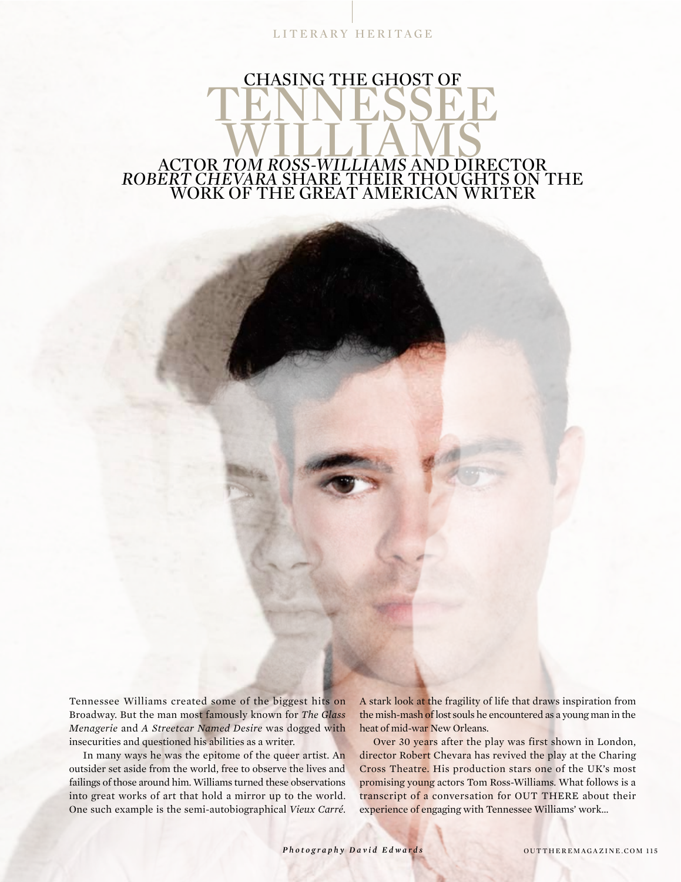LITERARY HERITAGE

## CHASING THE GHOST OF TENNESSEE WILLIAMS ACTOR *TOM ROSS-WILLIAMS* AND DIRECTOR

## *ROBERT CHEVARA* SHARE THEIR THOUGHTS ON THE WORK OF THE GREAT AMERICAN WRITER

Tennessee Williams created some of the biggest hits on Broadway. But the man most famously known for *The Glass Menagerie* and *A Streetcar Named Desire* was dogged with insecurities and questioned his abilities as a writer.

In many ways he was the epitome of the queer artist. An outsider set aside from the world, free to observe the lives and failings of those around him. Williams turned these observations into great works of art that hold a mirror up to the world. One such example is the semi-autobiographical *Vieux Carré*.

A stark look at the fragility of life that draws inspiration from the mish-mash of lost souls he encountered as a young man in the heat of mid-war New Orleans.

Over 30 years after the play was first shown in London, director Robert Chevara has revived the play at the Charing Cross Theatre. His production stars one of the UK's most promising young actors Tom Ross-Williams. What follows is a transcript of a conversation for OUT THERE about their experience of engaging with Tennessee Williams' work...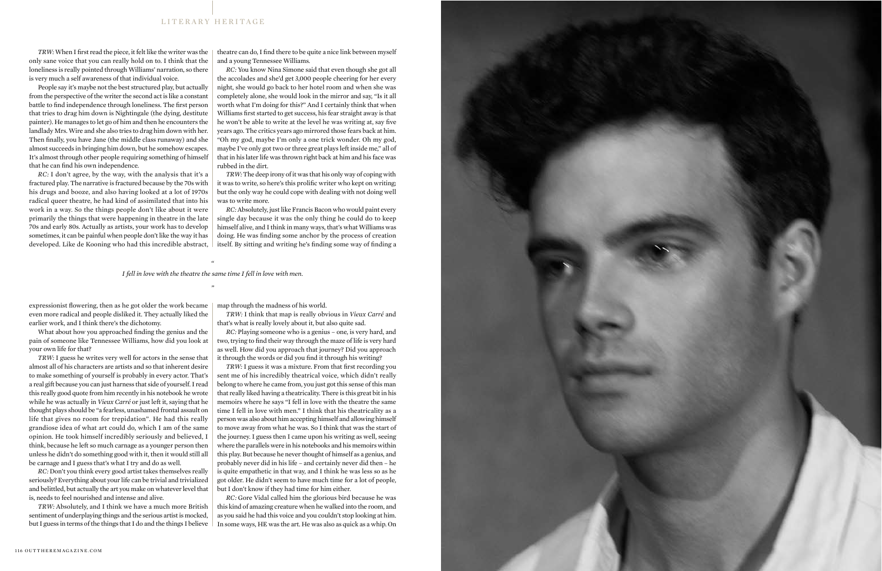*TRW:* When I first read the piece, it felt like the writer was the only sane voice that you can really hold on to. I think that the loneliness is really pointed through Williams' narration, so there is very much a self awareness of that individual voice.

People say it's maybe not the best structured play, but actually from the perspective of the writer the second act is like a constant battle to find independence through loneliness. The first person that tries to drag him down is Nightingale (the dying, destitute painter). He manages to let go of him and then he encounters the landlady Mrs. Wire and she also tries to drag him down with her. Then finally, you have Jane (the middle class runaway) and she almost succeeds in bringing him down, but he somehow escapes. It's almost through other people requiring something of himself that he can find his own independence.

*RC:* I don't agree, by the way, with the analysis that it's a fractured play. The narrative is fractured because by the 70s with his drugs and booze, and also having looked at a lot of 1970s radical queer theatre, he had kind of assimilated that into his work in a way. So the things people don't like about it were primarily the things that were happening in theatre in the late 70s and early 80s. Actually as artists, your work has to develop sometimes, it can be painful when people don't like the way it has developed. Like de Kooning who had this incredible abstract,

theatre can do, I find there to be quite a nice link between myself and a young Tennessee Williams.

*RC:* You know Nina Simone said that even though she got all the accolades and she'd get 3,000 people cheering for her every night, she would go back to her hotel room and when she was completely alone, she would look in the mirror and say, "Is it all worth what I'm doing for this?" And I certainly think that when Williams first started to get success, his fear straight away is that he won't be able to write at the level he was writing at, say five years ago. The critics years ago mirrored those fears back at him. "Oh my god, maybe I'm only a one trick wonder. Oh my god, maybe I've only got two or three great plays left inside me," all of that in his later life was thrown right back at him and his face was rubbed in the dirt.

*TRW:* The deep irony of it was that his only way of coping with it was to write, so here's this prolific writer who kept on writing; but the only way he could cope with dealing with not doing well was to write more.

*RC:* Absolutely, just like Francis Bacon who would paint every single day because it was the only thing he could do to keep himself alive, and I think in many ways, that's what Williams was doing. He was finding some anchor by the process of creation itself. By sitting and writing he's finding some way of finding a

*" I fell in love with the theatre the same time I fell in love with men. "*

expressionist flowering, then as he got older the work became | map through the madness of his world. even more radical and people disliked it. They actually liked the earlier work, and I think there's the dichotomy.

What about how you approached finding the genius and the pain of someone like Tennessee Williams, how did you look at your own life for that?

*TRW:* I guess he writes very well for actors in the sense that almost all of his characters are artists and so that inherent desire to make something of yourself is probably in every actor. That's a real gift because you can just harness that side of yourself. I read this really good quote from him recently in his notebook he wrote while he was actually in *Vieux Carré* or just left it, saying that he thought plays should be "a fearless, unashamed frontal assault on life that gives no room for trepidation". He had this really grandiose idea of what art could do, which I am of the same opinion. He took himself incredibly seriously and believed, I think, because he left so much carnage as a younger person then unless he didn't do something good with it, then it would still all be carnage and I guess that's what I try and do as well.

*RC:* Don't you think every good artist takes themselves really seriously? Everything about your life can be trivial and trivialized and belittled, but actually the art you make on whatever level that is, needs to feel nourished and intense and alive.

*TRW:* Absolutely, and I think we have a much more British sentiment of underplaying things and the serious artist is mocked, but I guess in terms of the things that I do and the things I believe

*TRW:* I think that map is really obvious in *Vieux Carré* and that's what is really lovely about it, but also quite sad.

*RC:* Playing someone who is a genius – one, is very hard, and two, trying to find their way through the maze of life is very hard as well. How did you approach that journey? Did you approach it through the words or did you find it through his writing?

*TRW:* I guess it was a mixture. From that first recording you sent me of his incredibly theatrical voice, which didn't really belong to where he came from, you just got this sense of this man that really liked having a theatricality. There is this great bit in his memoirs where he says "I fell in love with the theatre the same time I fell in love with men." I think that his theatricality as a person was also about him accepting himself and allowing himself to move away from what he was. So I think that was the start of the journey. I guess then I came upon his writing as well, seeing where the parallels were in his notebooks and his memoirs within this play. But because he never thought of himself as a genius, and probably never did in his life – and certainly never did then – he is quite empathetic in that way, and I think he was less so as he got older. He didn't seem to have much time for a lot of people, but I don't know if they had time for him either.

*RC:* Gore Vidal called him the glorious bird because he was this kind of amazing creature when he walked into the room, and as you said he had this voice and you couldn't stop looking at him. In some ways, HE was the art. He was also as quick as a whip. On